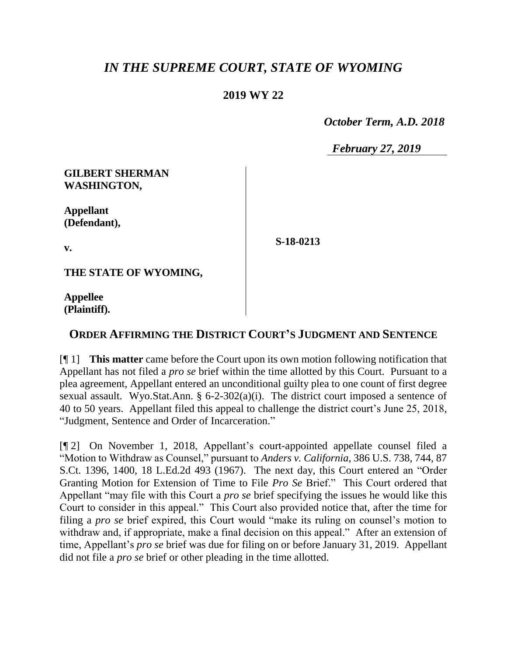# *IN THE SUPREME COURT, STATE OF WYOMING*

## **2019 WY 22**

 *October Term, A.D. 2018*

*February 27, 2019*

#### **GILBERT SHERMAN WASHINGTON,**

**Appellant (Defendant),**

**v.**

**S-18-0213**

**THE STATE OF WYOMING,**

**Appellee (Plaintiff).**

### **ORDER AFFIRMING THE DISTRICT COURT'S JUDGMENT AND SENTENCE**

[¶ 1] **This matter** came before the Court upon its own motion following notification that Appellant has not filed a *pro se* brief within the time allotted by this Court. Pursuant to a plea agreement, Appellant entered an unconditional guilty plea to one count of first degree sexual assault. Wyo.Stat.Ann. § 6-2-302(a)(i). The district court imposed a sentence of 40 to 50 years. Appellant filed this appeal to challenge the district court's June 25, 2018, "Judgment, Sentence and Order of Incarceration."

[¶ 2] On November 1, 2018, Appellant's court-appointed appellate counsel filed a "Motion to Withdraw as Counsel," pursuant to *Anders v. California*, 386 U.S. 738, 744, 87 S.Ct. 1396, 1400, 18 L.Ed.2d 493 (1967). The next day, this Court entered an "Order Granting Motion for Extension of Time to File *Pro Se* Brief." This Court ordered that Appellant "may file with this Court a *pro se* brief specifying the issues he would like this Court to consider in this appeal." This Court also provided notice that, after the time for filing a *pro se* brief expired, this Court would "make its ruling on counsel's motion to withdraw and, if appropriate, make a final decision on this appeal." After an extension of time, Appellant's *pro se* brief was due for filing on or before January 31, 2019. Appellant did not file a *pro se* brief or other pleading in the time allotted.